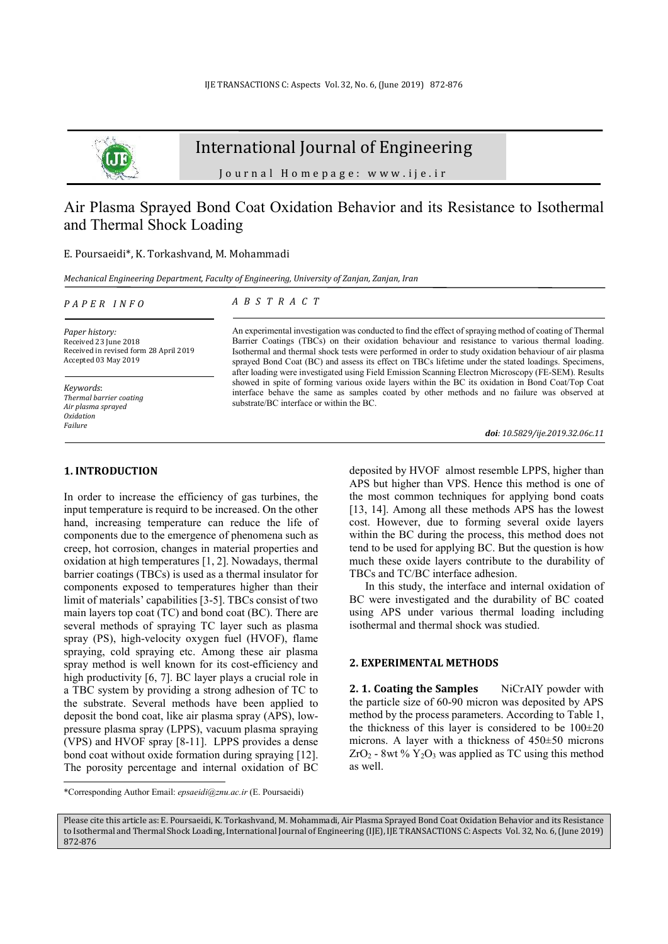

## International Journal of Engineering

Journal Homepage: www.ije.ir

## Air Plasma Sprayed Bond Coat Oxidation Behavior and its Resistance to Isothermal and Thermal Shock Loading

#### E. Poursaeidi\*, K. Torkashvand, M. Mohammadi

*Mechanical Engineering Department, Faculty of Engineering, University of Zanjan, Zanjan, Iran*

#### *P A P E R I N F O*

*A B S T R A C T* 

*Paper history:*  Received 23 June 2018 Received in revised form 28 April 2019 Accepted 03 May 2019

*Keywords*: *Thermal barrier coating Air plasma sprayed Oxidation Failure* 

#### An experimental investigation was conducted to find the effect of spraying method of coating of Thermal Barrier Coatings (TBCs) on their oxidation behaviour and resistance to various thermal loading. Isothermal and thermal shock tests were performed in order to study oxidation behaviour of air plasma sprayed Bond Coat (BC) and assess its effect on TBCs lifetime under the stated loadings. Specimens, after loading were investigated using Field Emission Scanning Electron Microscopy (FE-SEM). Results showed in spite of forming various oxide layers within the BC its oxidation in Bond Coat/Top Coat interface behave the same as samples coated by other methods and no failure was observed at substrate/BC interface or within the BC.

*doi: 10.5829/ije.2019.32.06c.11*

### **1. INTRODUCTION<sup>1</sup>**

In order to increase the efficiency of gas turbines, the input temperature is requird to be increased. On the other hand, increasing temperature can reduce the life of components due to the emergence of phenomena such as creep, hot corrosion, changes in material properties and oxidation at high temperatures [1, 2]. Nowadays, thermal barrier coatings (TBCs) is used as a thermal insulator for components exposed to temperatures higher than their limit of materials' capabilities [3-5]. TBCs consist of two main layers top coat (TC) and bond coat (BC). There are several methods of spraying TC layer such as plasma spray (PS), high-velocity oxygen fuel (HVOF), flame spraying, cold spraying etc. Among these air plasma spray method is well known for its cost-efficiency and high productivity [6, 7]. BC layer plays a crucial role in a TBC system by providing a strong adhesion of TC to the substrate. Several methods have been applied to deposit the bond coat, like air plasma spray (APS), lowpressure plasma spray (LPPS), vacuum plasma spraying (VPS) and HVOF spray [8-11]. LPPS provides a dense bond coat without oxide formation during spraying [12]. The porosity percentage and internal oxidation of BC  $\overline{a}$ 

deposited by HVOF almost resemble LPPS, higher than APS but higher than VPS. Hence this method is one of the most common techniques for applying bond coats [13, 14]. Among all these methods APS has the lowest cost. However, due to forming several oxide layers within the BC during the process, this method does not tend to be used for applying BC. But the question is how much these oxide layers contribute to the durability of TBCs and TC/BC interface adhesion.

In this study, the interface and internal oxidation of BC were investigated and the durability of BC coated using APS under various thermal loading including isothermal and thermal shock was studied.

#### **2. EXPERIMENTAL METHODS**

**2. 1. Coating the Samples** NiCrAIY powder with the particle size of 60-90 micron was deposited by APS method by the process parameters. According to Table 1, the thickness of this layer is considered to be  $100\pm20$ microns. A layer with a thickness of 450±50 microns  $ZrO<sub>2</sub> - 8wt % Y<sub>2</sub>O<sub>3</sub> was applied as TC using this method$ as well.

<sup>\*</sup>Corresponding Author Email: *epsaeidi@znu.ac.ir* (E. Poursaeidi)

Please cite this article as: E. Poursaeidi, K. Torkashvand, M. Mohammadi, Air Plasma Sprayed Bond Coat Oxidation Behavior and its Resistance to Isothermal and Thermal Shock Loading, International Journal of Engineering (IJE), IJE TRANSACTIONS C: Aspects Vol. 32, No. 6, (June 2019) 872-876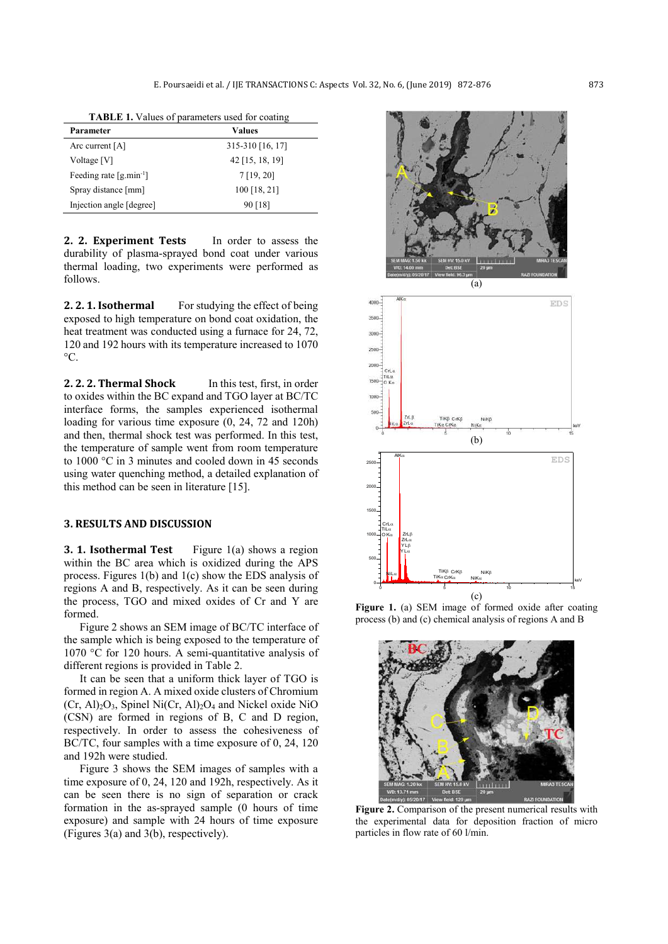| <b>TABLE 1.</b> Values of parameters used for coating |  |
|-------------------------------------------------------|--|
|-------------------------------------------------------|--|

| Parameter                   | <b>Values</b>     |
|-----------------------------|-------------------|
| Arc current $[A]$           | 315-310 [16, 17]  |
| Voltage [V]                 | $42$ [15, 18, 19] |
| Feeding rate $[g,min^{-1}]$ | 7[19, 20]         |
| Spray distance [mm]         | 100 [18, 21]      |
| Injection angle [degree]    | 90 [18]           |

**2. 2. Experiment Tests** In order to assess the durability of plasma-sprayed bond coat under various thermal loading, two experiments were performed as follows.

**2. 2. 1. Isothermal** For studying the effect of being exposed to high temperature on bond coat oxidation, the heat treatment was conducted using a furnace for 24, 72, 120 and 192 hours with its temperature increased to 1070  $^{\circ}C$ .

**2. 2. 2. Thermal Shock** In this test, first, in order to oxides within the BC expand and TGO layer at BC/TC interface forms, the samples experienced isothermal loading for various time exposure (0, 24, 72 and 120h) and then, thermal shock test was performed. In this test, the temperature of sample went from room temperature to 1000 °C in 3 minutes and cooled down in 45 seconds using water quenching method, a detailed explanation of this method can be seen in literature [15].

### **3. RESULTS AND DISCUSSION**

**3. 1. Isothermal Test** Figure 1(a) shows a region within the BC area which is oxidized during the APS process. Figures 1(b) and 1(c) show the EDS analysis of regions A and B, respectively. As it can be seen during the process, TGO and mixed oxides of Cr and Y are formed.

Figure 2 shows an SEM image of BC/TC interface of the sample which is being exposed to the temperature of 1070 °C for 120 hours. A semi-quantitative analysis of different regions is provided in Table 2.

It can be seen that a uniform thick layer of TGO is formed in region A. A mixed oxide clusters of Chromium  $(Cr, Al)<sub>2</sub>O<sub>3</sub>$ , Spinel Ni $(Cr, Al)<sub>2</sub>O<sub>4</sub>$  and Nickel oxide NiO (CSN) are formed in regions of B, C and D region, respectively. In order to assess the cohesiveness of BC/TC, four samples with a time exposure of 0, 24, 120 and 192h were studied.

Figure 3 shows the SEM images of samples with a time exposure of 0, 24, 120 and 192h, respectively. As it can be seen there is no sign of separation or crack formation in the as-sprayed sample (0 hours of time exposure) and sample with 24 hours of time exposure (Figures 3(a) and 3(b), respectively).



(c) Figure 1. (a) SEM image of formed oxide after coating process (b) and (c) chemical analysis of regions A and B

NiKα

 $\frac{1}{\sqrt{1-\frac{1}{2}}}\sqrt{\frac{1}{2}}$  keV

0 5 10 12 12

TiKα TiKβ

NiLα NiKβ CrKβ NiKβ

CrKα Cr<sub>K</sub>β

O Kα

500

1000

1500

2000

Y Lα Y Lβ ZrLα ZrLβ

TiLα

CrLα



**Figure 2.** Comparison of the present numerical results with the experimental data for deposition fraction of micro particles in flow rate of 60 l/min.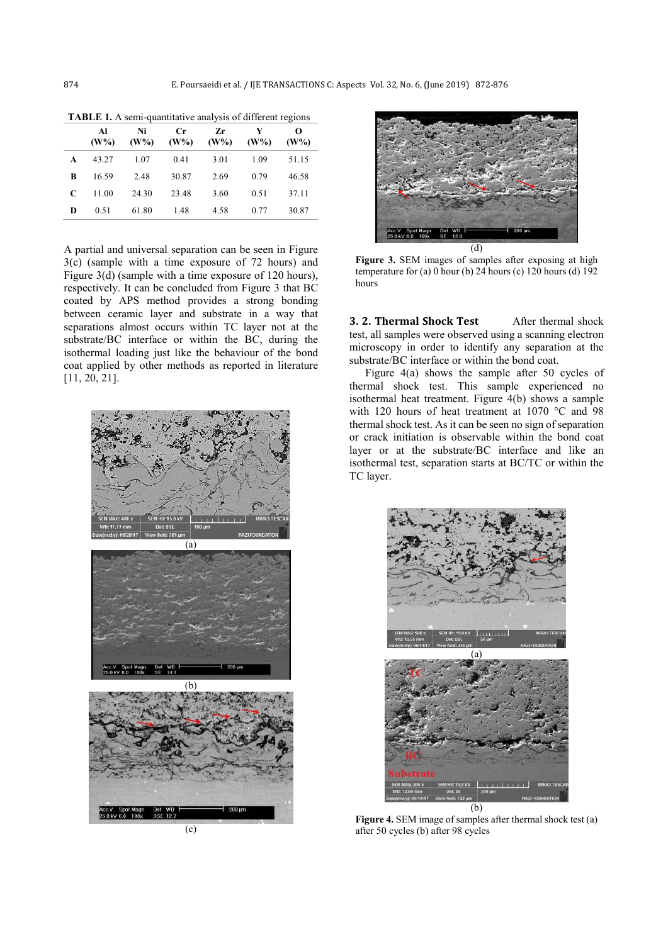|   | Al<br>(W% ) | Ni<br>(W% ) | Cr<br>$(W\%)$ | Zr<br>(W% ) | V<br>(W% ) | O<br>$(W\%)$ |  |  |
|---|-------------|-------------|---------------|-------------|------------|--------------|--|--|
| A | 43.27       | 1.07        | 0.41          | 3.01        | 1.09       | 51.15        |  |  |
| R | 16.59       | 2.48        | 30.87         | 2.69        | 0.79       | 46.58        |  |  |
| C | 11.00       | 24.30       | 23.48         | 3.60        | 0.51       | 37.11        |  |  |
| D | 0.51        | 61.80       | 1.48          | 4.58        | 0.77       | 30.87        |  |  |

**TABLE 1.** A semi-quantitative analysis of different regions

A partial and universal separation can be seen in Figure 3(c) (sample with a time exposure of 72 hours) and Figure 3(d) (sample with a time exposure of 120 hours), respectively. It can be concluded from Figure 3 that BC coated by APS method provides a strong bonding between ceramic layer and substrate in a way that separations almost occurs within TC layer not at the substrate/BC interface or within the BC, during the isothermal loading just like the behaviour of the bond coat applied by other methods as reported in literature [11, 20, 21].



(c)



**Figure 3.** SEM images of samples after exposing at high temperature for (a) 0 hour (b)  $24$  hours (c) 120 hours (d) 192 hours

**3. 2. Thermal Shock Test** After thermal shock test, all samples were observed using a scanning electron microscopy in order to identify any separation at the substrate/BC interface or within the bond coat.

Figure 4(a) shows the sample after 50 cycles of thermal shock test. This sample experienced no isothermal heat treatment. Figure 4(b) shows a sample with 120 hours of heat treatment at 1070 °C and 98 thermal shock test. As it can be seen no sign of separation or crack initiation is observable within the bond coat layer or at the substrate/BC interface and like an isothermal test, separation starts at BC/TC or within the TC layer.



**Figure 4.** SEM image of samples after thermal shock test (a) after 50 cycles (b) after 98 cycles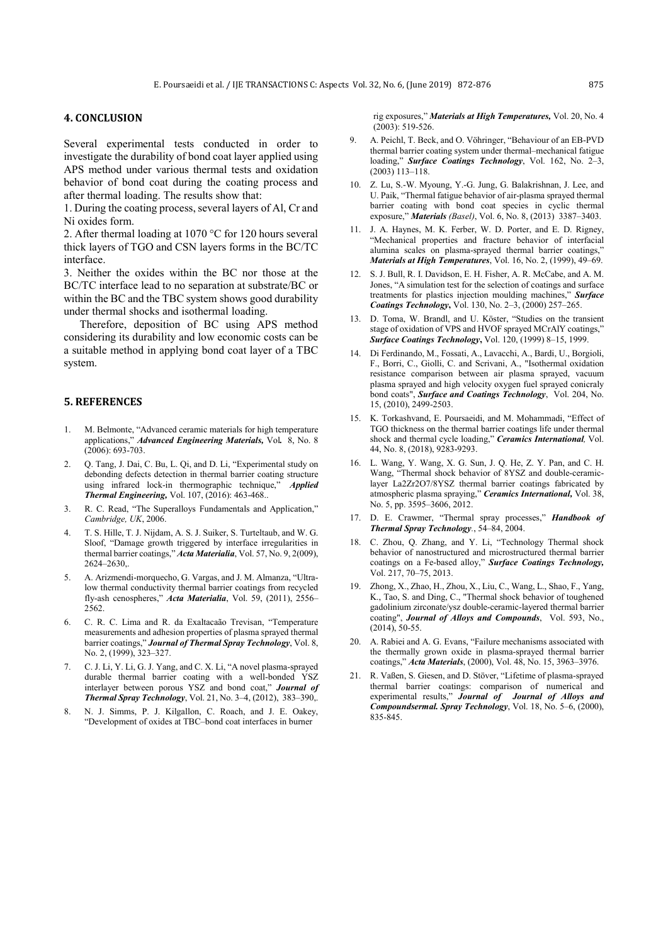### **4. CONCLUSION**

Several experimental tests conducted in order to investigate the durability of bond coat layer applied using APS method under various thermal tests and oxidation behavior of bond coat during the coating process and after thermal loading. The results show that:

1. During the coating process, several layers of Al, Cr and Ni oxides form.

2. After thermal loading at 1070 °C for 120 hours several thick layers of TGO and CSN layers forms in the BC/TC interface.

3. Neither the oxides within the BC nor those at the BC/TC interface lead to no separation at substrate/BC or within the BC and the TBC system shows good durability under thermal shocks and isothermal loading.

Therefore, deposition of BC using APS method considering its durability and low economic costs can be a suitable method in applying bond coat layer of a TBC system.

#### **5. REFERENCES**

- 1. M. Belmonte, "Advanced ceramic materials for high temperature applications," *Advanced Engineering Materials,* Vol*.* 8, No. 8  $(2006)$ : 693-703.
- 2. Q. Tang, J. Dai, C. Bu, L. Qi, and D. Li, "Experimental study on debonding defects detection in thermal barrier coating structure using infrared lock-in thermographic technique," *Applied Thermal Engineering,* Vol. 107, (2016): 463-468..
- 3. R. C. Read, "The Superalloys Fundamentals and Application," *Cambridge, UK*, 2006.
- 4. T. S. Hille, T. J. Nijdam, A. S. J. Suiker, S. Turteltaub, and W. G. Sloof, "Damage growth triggered by interface irregularities in thermal barrier coatings," *Acta Materialia*, Vol. 57, No. 9, 2(009), 2624–2630,.
- 5. A. Arizmendi-morquecho, G. Vargas, and J. M. Almanza, "Ultralow thermal conductivity thermal barrier coatings from recycled fly-ash cenospheres," *Acta Materialia*, Vol. 59, (2011), 2556– 2562.
- 6. C. R. C. Lima and R. da Exaltacaão Trevisan, "Temperature measurements and adhesion properties of plasma sprayed thermal barrier coatings," *Journal of Thermal Spray Technology*, Vol. 8, No. 2, (1999), 323–327.
- 7. C. J. Li, Y. Li, G. J. Yang, and C. X. Li, "A novel plasma-sprayed durable thermal barrier coating with a well-bonded YSZ interlayer between porous YSZ and bond coat," *Journal of Thermal Spray Technology*, Vol. 21, No. 3–4, (2012), 383–390,.
- 8. N. J. Simms, P. J. Kilgallon, C. Roach, and J. E. Oakey, "Development of oxides at TBC–bond coat interfaces in burner

rig exposures," *Materials at High Temperatures,* Vol. 20, No. 4  $(2003)$ : 519-526.

- 9. A. Peichl, T. Beck, and O. Vöhringer, "Behaviour of an EB-PVD thermal barrier coating system under thermal–mechanical fatigue loading," *Surface Coatings Technology*, Vol. 162, No. 2–3, (2003) 113–118.
- 10. Z. Lu, S.-W. Myoung, Y.-G. Jung, G. Balakrishnan, J. Lee, and U. Paik, "Thermal fatigue behavior of air-plasma sprayed thermal barrier coating with bond coat species in cyclic thermal exposure," *Materials (Basel)*, Vol. 6, No. 8, (2013) 3387–3403.
- 11. J. A. Haynes, M. K. Ferber, W. D. Porter, and E. D. Rigney, "Mechanical properties and fracture behavior of interfacial alumina scales on plasma-sprayed thermal barrier coatings,' *Materials at High Temperatures*, Vol. 16, No. 2, (1999), 49–69.
- 12. S. J. Bull, R. I. Davidson, E. H. Fisher, A. R. McCabe, and A. M. Jones, "A simulation test for the selection of coatings and surface treatments for plastics injection moulding machines," *Surface Coatings Technology***,** Vol. 130, No. 2–3, (2000) 257–265.
- 13. D. Toma, W. Brandl, and U. Köster, "Studies on the transient stage of oxidation of VPS and HVOF sprayed MCrAlY coatings," *Surface Coatings Technology***,** Vol. 120, (1999) 8–15, 1999.
- 14. Di Ferdinando, M., Fossati, A., Lavacchi, A., Bardi, U., Borgioli, F., Borri, C., Giolli, C. and Scrivani, A., "Isothermal oxidation resistance comparison between air plasma sprayed, vacuum plasma sprayed and high velocity oxygen fuel sprayed conicraly bond coats", *Surface and Coatings Technology*, Vol. 204, No. 15, (2010), 2499-2503.
- 15. K. Torkashvand, E. Poursaeidi, and M. Mohammadi, "Effect of TGO thickness on the thermal barrier coatings life under thermal shock and thermal cycle loading," *Ceramics International,* Vol. 44, No. 8, (2018), 9283-9293.
- 16. L. Wang, Y. Wang, X. G. Sun, J. Q. He, Z. Y. Pan, and C. H. Wang, "Thermal shock behavior of 8YSZ and double-ceramiclayer La2Zr2O7/8YSZ thermal barrier coatings fabricated by atmospheric plasma spraying," *Ceramics International,* Vol. 38, No. 5, pp. 3595–3606, 2012.
- 17. D. E. Crawmer, "Thermal spray processes," *Handbook of Thermal Spray Technology.*, 54–84, 2004.
- 18. C. Zhou, Q. Zhang, and Y. Li, "Technology Thermal shock behavior of nanostructured and microstructured thermal barrier coatings on a Fe-based alloy," *Surface Coatings Technology,* Vol. 217, 70–75, 2013.
- 19. Zhong, X., Zhao, H., Zhou, X., Liu, C., Wang, L., Shao, F., Yang, K., Tao, S. and Ding, C., "Thermal shock behavior of toughened gadolinium zirconate/ysz double-ceramic-layered thermal barrier coating", *Journal of Alloys and Compounds*, Vol. 593, No., (2014), 50-55.
- 20. A. Rabiei and A. G. Evans, "Failure mechanisms associated with the thermally grown oxide in plasma-sprayed thermal barrier coatings," *Acta Materials*, (2000), Vol. 48, No. 15, 3963–3976.
- 21. R. Vaßen, S. Giesen, and D. Stöver, "Lifetime of plasma-sprayed thermal barrier coatings: comparison of numerical and experimental results," *Journal of Journal of Alloys and Compoundsermal. Spray Technology*, Vol. 18, No. 5–6, (2000), 835-845.